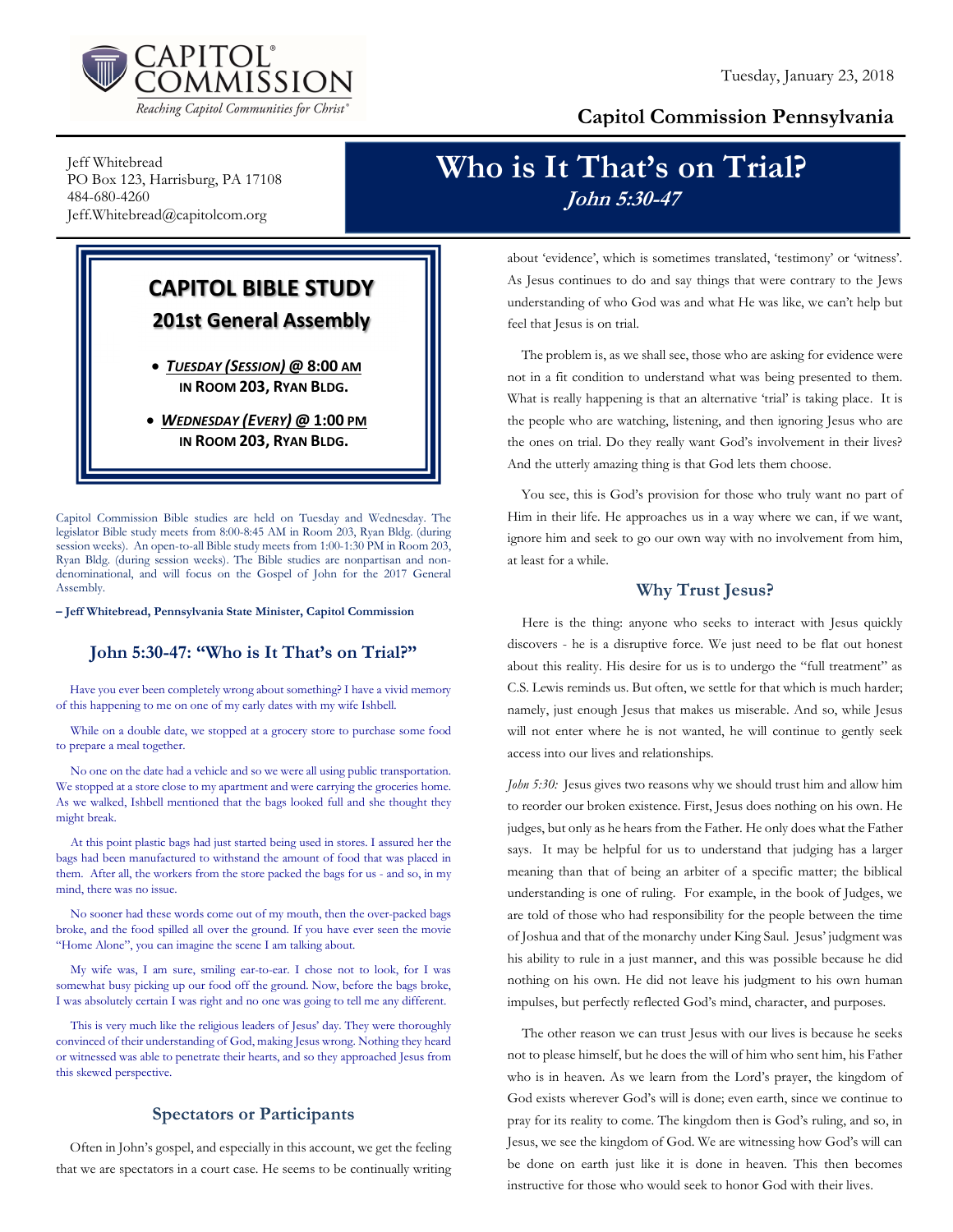

### Capitol Commission Pennsylvania

Jeff Whitebread PO Box 123, Harrisburg, PA 17108 484-680-4260 Jeff.Whitebread@capitolcom.org

### CAPITOL BIBLE STUDY 201st General Assembly

 TUESDAY (SESSION) @ 8:00 AM IN ROOM 203, RYAN BLDG.

• WEDNESDAY (EVERY) @ 1:00 PM IN ROOM 203, RYAN BLDG.

Capitol Commission Bible studies are held on Tuesday and Wednesday. The legislator Bible study meets from 8:00-8:45 AM in Room 203, Ryan Bldg. (during session weeks). An open-to-all Bible study meets from 1:00-1:30 PM in Room 203, Ryan Bldg. (during session weeks). The Bible studies are nonpartisan and nondenominational, and will focus on the Gospel of John for the 2017 General Assembly.

– Jeff Whitebread, Pennsylvania State Minister, Capitol Commission

### John 5:30-47: "Who is It That's on Trial?"

Have you ever been completely wrong about something? I have a vivid memory of this happening to me on one of my early dates with my wife Ishbell.

While on a double date, we stopped at a grocery store to purchase some food to prepare a meal together.

No one on the date had a vehicle and so we were all using public transportation. We stopped at a store close to my apartment and were carrying the groceries home. As we walked, Ishbell mentioned that the bags looked full and she thought they might break.

At this point plastic bags had just started being used in stores. I assured her the bags had been manufactured to withstand the amount of food that was placed in them. After all, the workers from the store packed the bags for us - and so, in my mind, there was no issue.

No sooner had these words come out of my mouth, then the over-packed bags broke, and the food spilled all over the ground. If you have ever seen the movie "Home Alone", you can imagine the scene I am talking about.

My wife was, I am sure, smiling ear-to-ear. I chose not to look, for I was somewhat busy picking up our food off the ground. Now, before the bags broke, I was absolutely certain I was right and no one was going to tell me any different.

This is very much like the religious leaders of Jesus' day. They were thoroughly convinced of their understanding of God, making Jesus wrong. Nothing they heard or witnessed was able to penetrate their hearts, and so they approached Jesus from this skewed perspective.

### Spectators or Participants

Often in John's gospel, and especially in this account, we get the feeling that we are spectators in a court case. He seems to be continually writing

## Who is It That's on Trial? John 5:30-47

about 'evidence', which is sometimes translated, 'testimony' or 'witness'. As Jesus continues to do and say things that were contrary to the Jews understanding of who God was and what He was like, we can't help but feel that Jesus is on trial.

The problem is, as we shall see, those who are asking for evidence were not in a fit condition to understand what was being presented to them. What is really happening is that an alternative 'trial' is taking place. It is the people who are watching, listening, and then ignoring Jesus who are the ones on trial. Do they really want God's involvement in their lives? And the utterly amazing thing is that God lets them choose.

You see, this is God's provision for those who truly want no part of Him in their life. He approaches us in a way where we can, if we want, ignore him and seek to go our own way with no involvement from him, at least for a while.

### Why Trust Jesus?

Here is the thing: anyone who seeks to interact with Jesus quickly discovers - he is a disruptive force. We just need to be flat out honest about this reality. His desire for us is to undergo the "full treatment" as C.S. Lewis reminds us. But often, we settle for that which is much harder; namely, just enough Jesus that makes us miserable. And so, while Jesus will not enter where he is not wanted, he will continue to gently seek access into our lives and relationships.

John 5:30: Jesus gives two reasons why we should trust him and allow him to reorder our broken existence. First, Jesus does nothing on his own. He judges, but only as he hears from the Father. He only does what the Father says. It may be helpful for us to understand that judging has a larger meaning than that of being an arbiter of a specific matter; the biblical understanding is one of ruling. For example, in the book of Judges, we are told of those who had responsibility for the people between the time of Joshua and that of the monarchy under King Saul. Jesus' judgment was his ability to rule in a just manner, and this was possible because he did nothing on his own. He did not leave his judgment to his own human impulses, but perfectly reflected God's mind, character, and purposes.

The other reason we can trust Jesus with our lives is because he seeks not to please himself, but he does the will of him who sent him, his Father who is in heaven. As we learn from the Lord's prayer, the kingdom of God exists wherever God's will is done; even earth, since we continue to pray for its reality to come. The kingdom then is God's ruling, and so, in Jesus, we see the kingdom of God. We are witnessing how God's will can be done on earth just like it is done in heaven. This then becomes instructive for those who would seek to honor God with their lives.